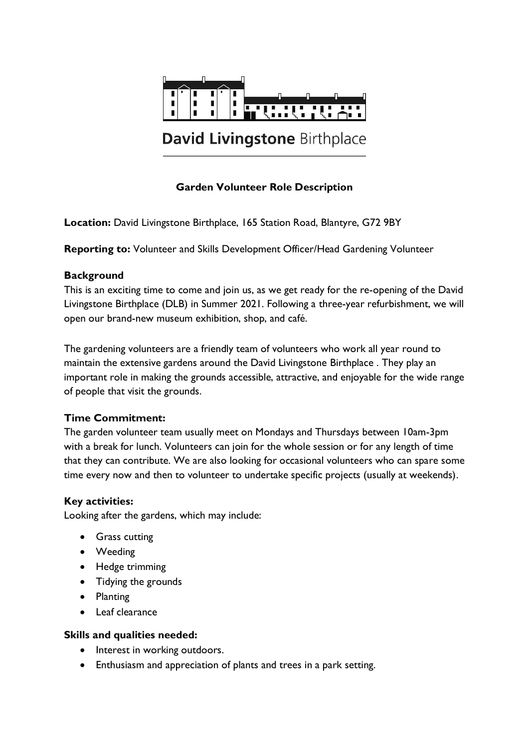

# **Garden Volunteer Role Description**

**Location:** David Livingstone Birthplace, 165 Station Road, Blantyre, G72 9BY

**Reporting to:** Volunteer and Skills Development Officer/Head Gardening Volunteer

#### **Background**

This is an exciting time to come and join us, as we get ready for the re-opening of the David Livingstone Birthplace (DLB) in Summer 2021. Following a three-year refurbishment, we will open our brand-new museum exhibition, shop, and café.

The gardening volunteers are a friendly team of volunteers who work all year round to maintain the extensive gardens around the David Livingstone Birthplace . They play an important role in making the grounds accessible, attractive, and enjoyable for the wide range of people that visit the grounds.

## **Time Commitment:**

The garden volunteer team usually meet on Mondays and Thursdays between 10am-3pm with a break for lunch. Volunteers can join for the whole session or for any length of time that they can contribute. We are also looking for occasional volunteers who can spare some time every now and then to volunteer to undertake specific projects (usually at weekends).

#### **Key activities:**

Looking after the gardens, which may include:

- **Grass cutting**
- Weeding
- Hedge trimming
- Tidying the grounds
- Planting
- Leaf clearance

#### **Skills and qualities needed:**

- Interest in working outdoors.
- Enthusiasm and appreciation of plants and trees in a park setting.